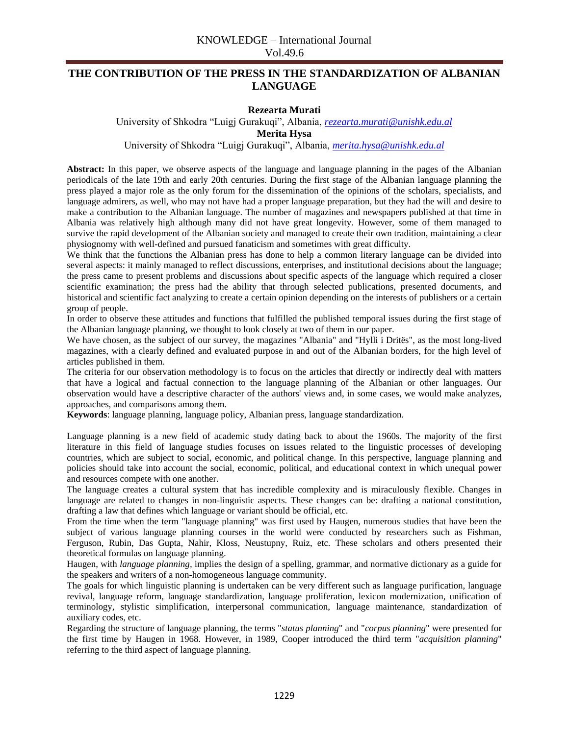## **THE CONTRIBUTION OF THE PRESS IN THE STANDARDIZATION OF ALBANIAN LANGUAGE**

## **Rezearta Murati**

University of Shkodra "Luigj Gurakuqi", Albania, *[rezearta.murati@unishk.edu.al](mailto:rezearta.murati@unishk.edu.al)*

**Merita Hysa** 

University of Shkodra "Luigj Gurakuqi", Albania, *[merita.hysa@unishk.edu.al](mailto:merita.hysa@unishk.edu.al)*

**Abstract:** In this paper, we observe aspects of the language and language planning in the pages of the Albanian periodicals of the late 19th and early 20th centuries. During the first stage of the Albanian language planning the press played a major role as the only forum for the dissemination of the opinions of the scholars, specialists, and language admirers, as well, who may not have had a proper language preparation, but they had the will and desire to make a contribution to the Albanian language. The number of magazines and newspapers published at that time in Albania was relatively high although many did not have great longevity. However, some of them managed to survive the rapid development of the Albanian society and managed to create their own tradition, maintaining a clear physiognomy with well-defined and pursued fanaticism and sometimes with great difficulty.

We think that the functions the Albanian press has done to help a common literary language can be divided into several aspects: it mainly managed to reflect discussions, enterprises, and institutional decisions about the language; the press came to present problems and discussions about specific aspects of the language which required a closer scientific examination; the press had the ability that through selected publications, presented documents, and historical and scientific fact analyzing to create a certain opinion depending on the interests of publishers or a certain group of people.

In order to observe these attitudes and functions that fulfilled the published temporal issues during the first stage of the Albanian language planning, we thought to look closely at two of them in our paper.

We have chosen, as the subject of our survey, the magazines "Albania" and "Hylli i Dritës", as the most long-lived magazines, with a clearly defined and evaluated purpose in and out of the Albanian borders, for the high level of articles published in them.

The criteria for our observation methodology is to focus on the articles that directly or indirectly deal with matters that have a logical and factual connection to the language planning of the Albanian or other languages. Our observation would have a descriptive character of the authors' views and, in some cases, we would make analyzes, approaches, and comparisons among them.

**Keywords**: language planning, language policy, Albanian press, language standardization.

Language planning is a new field of academic study dating back to about the 1960s. The majority of the first literature in this field of language studies focuses on issues related to the linguistic processes of developing countries, which are subject to social, economic, and political change. In this perspective, language planning and policies should take into account the social, economic, political, and educational context in which unequal power and resources compete with one another.

The language creates a cultural system that has incredible complexity and is miraculously flexible. Changes in language are related to changes in non-linguistic aspects. These changes can be: drafting a national constitution, drafting a law that defines which language or variant should be official, etc.

From the time when the term "language planning" was first used by Haugen, numerous studies that have been the subject of various language planning courses in the world were conducted by researchers such as Fishman, Ferguson, Rubin, Das Gupta, Nahir, Kloss, Neustupny, Ruiz, etc. These scholars and others presented their theoretical formulas on language planning.

Haugen, with *language planning,* implies the design of a spelling, grammar, and normative dictionary as a guide for the speakers and writers of a non-homogeneous language community.

The goals for which linguistic planning is undertaken can be very different such as language purification, language revival, language reform, language standardization, language proliferation, lexicon modernization, unification of terminology, stylistic simplification, interpersonal communication, language maintenance, standardization of auxiliary codes, etc.

Regarding the structure of language planning, the terms "*status planning*" and "*corpus planning*" were presented for the first time by Haugen in 1968. However, in 1989, Cooper introduced the third term "*acquisition planning*" referring to the third aspect of language planning.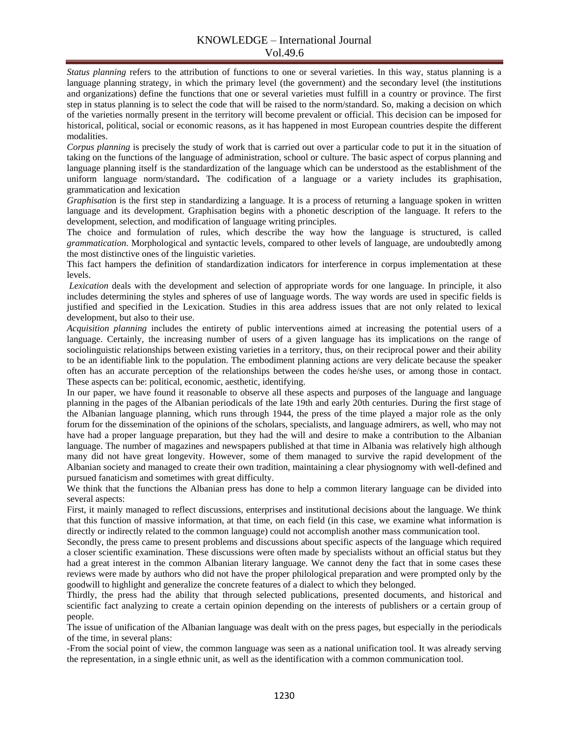*Status planning* refers to the attribution of functions to one or several varieties. In this way, status planning is a language planning strategy, in which the primary level (the government) and the secondary level (the institutions and organizations) define the functions that one or several varieties must fulfill in a country or province. The first step in status planning is to select the code that will be raised to the norm/standard. So, making a decision on which of the varieties normally present in the territory will become prevalent or official. This decision can be imposed for historical, political, social or economic reasons, as it has happened in most European countries despite the different modalities.

*Corpus planning* is precisely the study of work that is carried out over a particular code to put it in the situation of taking on the functions of the language of administration, school or culture. The basic aspect of corpus planning and language planning itself is the standardization of the language which can be understood as the establishment of the uniform language norm/standard**.** The codification of a language or a variety includes its graphisation, grammatication and lexication

*Graphisatio*n is the first step in standardizing a language. It is a process of returning a language spoken in written language and its development. Graphisation begins with a phonetic description of the language. It refers to the development, selection, and modification of language writing principles.

The choice and formulation of rules, which describe the way how the language is structured, is called *grammatication*. Morphological and syntactic levels, compared to other levels of language, are undoubtedly among the most distinctive ones of the linguistic varieties.

This fact hampers the definition of standardization indicators for interference in corpus implementation at these levels.

*Lexication* deals with the development and selection of appropriate words for one language. In principle, it also includes determining the styles and spheres of use of language words. The way words are used in specific fields is justified and specified in the Lexication. Studies in this area address issues that are not only related to lexical development, but also to their use.

*Acquisition planning* includes the entirety of public interventions aimed at increasing the potential users of a language. Certainly, the increasing number of users of a given language has its implications on the range of sociolinguistic relationships between existing varieties in a territory, thus, on their reciprocal power and their ability to be an identifiable link to the population. The embodiment planning actions are very delicate because the speaker often has an accurate perception of the relationships between the codes he/she uses, or among those in contact. These aspects can be: political, economic, aesthetic, identifying.

In our paper, we have found it reasonable to observe all these aspects and purposes of the language and language planning in the pages of the Albanian periodicals of the late 19th and early 20th centuries. During the first stage of the Albanian language planning, which runs through 1944, the press of the time played a major role as the only forum for the dissemination of the opinions of the scholars, specialists, and language admirers, as well, who may not have had a proper language preparation, but they had the will and desire to make a contribution to the Albanian language. The number of magazines and newspapers published at that time in Albania was relatively high although many did not have great longevity. However, some of them managed to survive the rapid development of the Albanian society and managed to create their own tradition, maintaining a clear physiognomy with well-defined and pursued fanaticism and sometimes with great difficulty.

We think that the functions the Albanian press has done to help a common literary language can be divided into several aspects:

First, it mainly managed to reflect discussions, enterprises and institutional decisions about the language. We think that this function of massive information, at that time, on each field (in this case, we examine what information is directly or indirectly related to the common language) could not accomplish another mass communication tool.

Secondly, the press came to present problems and discussions about specific aspects of the language which required a closer scientific examination. These discussions were often made by specialists without an official status but they had a great interest in the common Albanian literary language. We cannot deny the fact that in some cases these reviews were made by authors who did not have the proper philological preparation and were prompted only by the goodwill to highlight and generalize the concrete features of a dialect to which they belonged.

Thirdly, the press had the ability that through selected publications, presented documents, and historical and scientific fact analyzing to create a certain opinion depending on the interests of publishers or a certain group of people.

The issue of unification of the Albanian language was dealt with on the press pages, but especially in the periodicals of the time, in several plans:

-From the social point of view, the common language was seen as a national unification tool. It was already serving the representation, in a single ethnic unit, as well as the identification with a common communication tool.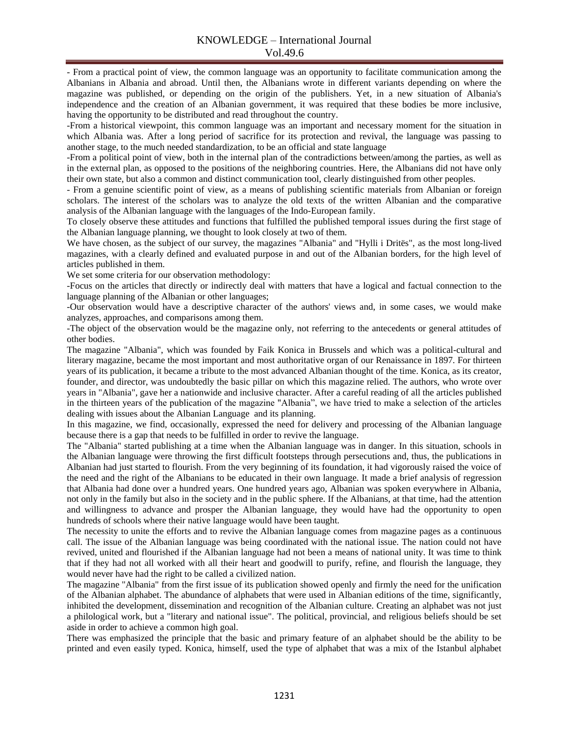- From a practical point of view, the common language was an opportunity to facilitate communication among the Albanians in Albania and abroad. Until then, the Albanians wrote in different variants depending on where the magazine was published, or depending on the origin of the publishers. Yet, in a new situation of Albania's independence and the creation of an Albanian government, it was required that these bodies be more inclusive, having the opportunity to be distributed and read throughout the country.

-From a historical viewpoint, this common language was an important and necessary moment for the situation in which Albania was. After a long period of sacrifice for its protection and revival, the language was passing to another stage, to the much needed standardization, to be an official and state language

-From a political point of view, both in the internal plan of the contradictions between/among the parties, as well as in the external plan, as opposed to the positions of the neighboring countries. Here, the Albanians did not have only their own state, but also a common and distinct communication tool, clearly distinguished from other peoples.

- From a genuine scientific point of view, as a means of publishing scientific materials from Albanian or foreign scholars. The interest of the scholars was to analyze the old texts of the written Albanian and the comparative analysis of the Albanian language with the languages of the Indo-European family.

To closely observe these attitudes and functions that fulfilled the published temporal issues during the first stage of the Albanian language planning, we thought to look closely at two of them.

We have chosen, as the subject of our survey, the magazines "Albania" and "Hylli i Dritës", as the most long-lived magazines, with a clearly defined and evaluated purpose in and out of the Albanian borders, for the high level of articles published in them.

We set some criteria for our observation methodology:

-Focus on the articles that directly or indirectly deal with matters that have a logical and factual connection to the language planning of the Albanian or other languages;

-Our observation would have a descriptive character of the authors' views and, in some cases, we would make analyzes, approaches, and comparisons among them.

-The object of the observation would be the magazine only, not referring to the antecedents or general attitudes of other bodies.

The magazine "Albania", which was founded by Faik Konica in Brussels and which was a political-cultural and literary magazine, became the most important and most authoritative organ of our Renaissance in 1897. For thirteen years of its publication, it became a tribute to the most advanced Albanian thought of the time. Konica, as its creator, founder, and director, was undoubtedly the basic pillar on which this magazine relied. The authors, who wrote over years in "Albania", gave her a nationwide and inclusive character. After a careful reading of all the articles published in the thirteen years of the publication of the magazine "Albania", we have tried to make a selection of the articles dealing with issues about the Albanian Language and its planning.

In this magazine, we find, occasionally, expressed the need for delivery and processing of the Albanian language because there is a gap that needs to be fulfilled in order to revive the language.

The "Albania" started publishing at a time when the Albanian language was in danger. In this situation, schools in the Albanian language were throwing the first difficult footsteps through persecutions and, thus, the publications in Albanian had just started to flourish. From the very beginning of its foundation, it had vigorously raised the voice of the need and the right of the Albanians to be educated in their own language. It made a brief analysis of regression that Albania had done over a hundred years. One hundred years ago, Albanian was spoken everywhere in Albania, not only in the family but also in the society and in the public sphere. If the Albanians, at that time, had the attention and willingness to advance and prosper the Albanian language, they would have had the opportunity to open hundreds of schools where their native language would have been taught.

The necessity to unite the efforts and to revive the Albanian language comes from magazine pages as a continuous call. The issue of the Albanian language was being coordinated with the national issue. The nation could not have revived, united and flourished if the Albanian language had not been a means of national unity. It was time to think that if they had not all worked with all their heart and goodwill to purify, refine, and flourish the language, they would never have had the right to be called a civilized nation.

The magazine "Albania" from the first issue of its publication showed openly and firmly the need for the unification of the Albanian alphabet. The abundance of alphabets that were used in Albanian editions of the time, significantly, inhibited the development, dissemination and recognition of the Albanian culture. Creating an alphabet was not just a philological work, but a "literary and national issue". The political, provincial, and religious beliefs should be set aside in order to achieve a common high goal.

There was emphasized the principle that the basic and primary feature of an alphabet should be the ability to be printed and even easily typed. Konica, himself, used the type of alphabet that was a mix of the Istanbul alphabet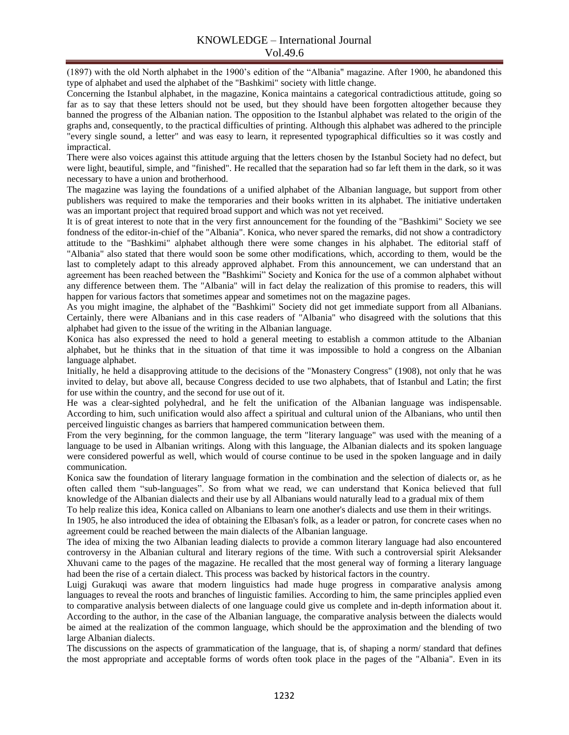(1897) with the old North alphabet in the 1900's edition of the "Albania" magazine. After 1900, he abandoned this type of alphabet and used the alphabet of the "Bashkimi" society with little change.

Concerning the Istanbul alphabet, in the magazine, Konica maintains a categorical contradictious attitude, going so far as to say that these letters should not be used, but they should have been forgotten altogether because they banned the progress of the Albanian nation. The opposition to the Istanbul alphabet was related to the origin of the graphs and, consequently, to the practical difficulties of printing. Although this alphabet was adhered to the principle "every single sound, a letter" and was easy to learn, it represented typographical difficulties so it was costly and impractical.

There were also voices against this attitude arguing that the letters chosen by the Istanbul Society had no defect, but were light, beautiful, simple, and "finished". He recalled that the separation had so far left them in the dark, so it was necessary to have a union and brotherhood.

The magazine was laying the foundations of a unified alphabet of the Albanian language, but support from other publishers was required to make the temporaries and their books written in its alphabet. The initiative undertaken was an important project that required broad support and which was not yet received.

It is of great interest to note that in the very first announcement for the founding of the "Bashkimi" Society we see fondness of the editor-in-chief of the "Albania". Konica, who never spared the remarks, did not show a contradictory attitude to the "Bashkimi" alphabet although there were some changes in his alphabet. The editorial staff of "Albania" also stated that there would soon be some other modifications, which, according to them, would be the last to completely adapt to this already approved alphabet. From this announcement, we can understand that an agreement has been reached between the "Bashkimi" Society and Konica for the use of a common alphabet without any difference between them. The "Albania" will in fact delay the realization of this promise to readers, this will happen for various factors that sometimes appear and sometimes not on the magazine pages.

As you might imagine, the alphabet of the "Bashkimi" Society did not get immediate support from all Albanians. Certainly, there were Albanians and in this case readers of "Albania" who disagreed with the solutions that this alphabet had given to the issue of the writing in the Albanian language.

Konica has also expressed the need to hold a general meeting to establish a common attitude to the Albanian alphabet, but he thinks that in the situation of that time it was impossible to hold a congress on the Albanian language alphabet.

Initially, he held a disapproving attitude to the decisions of the "Monastery Congress" (1908), not only that he was invited to delay, but above all, because Congress decided to use two alphabets, that of Istanbul and Latin; the first for use within the country, and the second for use out of it.

He was a clear-sighted polyhedral, and he felt the unification of the Albanian language was indispensable. According to him, such unification would also affect a spiritual and cultural union of the Albanians, who until then perceived linguistic changes as barriers that hampered communication between them.

From the very beginning, for the common language, the term "literary language" was used with the meaning of a language to be used in Albanian writings. Along with this language, the Albanian dialects and its spoken language were considered powerful as well, which would of course continue to be used in the spoken language and in daily communication.

Konica saw the foundation of literary language formation in the combination and the selection of dialects or, as he often called them "sub-languages". So from what we read, we can understand that Konica believed that full knowledge of the Albanian dialects and their use by all Albanians would naturally lead to a gradual mix of them

To help realize this idea, Konica called on Albanians to learn one another's dialects and use them in their writings.

In 1905, he also introduced the idea of obtaining the Elbasan's folk, as a leader or patron, for concrete cases when no agreement could be reached between the main dialects of the Albanian language.

The idea of mixing the two Albanian leading dialects to provide a common literary language had also encountered controversy in the Albanian cultural and literary regions of the time. With such a controversial spirit Aleksander Xhuvani came to the pages of the magazine. He recalled that the most general way of forming a literary language had been the rise of a certain dialect. This process was backed by historical factors in the country.

Luigj Gurakuqi was aware that modern linguistics had made huge progress in comparative analysis among languages to reveal the roots and branches of linguistic families. According to him, the same principles applied even to comparative analysis between dialects of one language could give us complete and in-depth information about it. According to the author, in the case of the Albanian language, the comparative analysis between the dialects would be aimed at the realization of the common language, which should be the approximation and the blending of two large Albanian dialects.

The discussions on the aspects of grammatication of the language, that is, of shaping a norm/ standard that defines the most appropriate and acceptable forms of words often took place in the pages of the "Albania". Even in its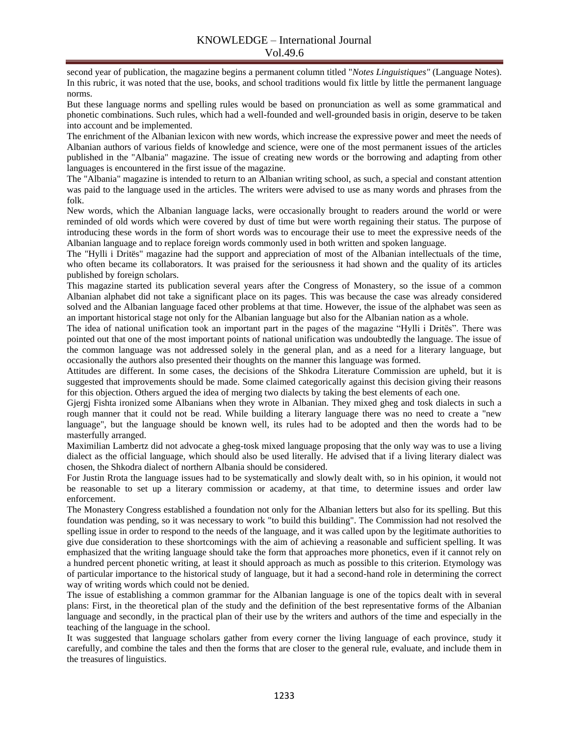second year of publication, the magazine begins a permanent column titled "*Notes Linguistiques"* (Language Notes). In this rubric, it was noted that the use, books, and school traditions would fix little by little the permanent language norms.

But these language norms and spelling rules would be based on pronunciation as well as some grammatical and phonetic combinations. Such rules, which had a well-founded and well-grounded basis in origin, deserve to be taken into account and be implemented.

The enrichment of the Albanian lexicon with new words, which increase the expressive power and meet the needs of Albanian authors of various fields of knowledge and science, were one of the most permanent issues of the articles published in the "Albania" magazine. The issue of creating new words or the borrowing and adapting from other languages is encountered in the first issue of the magazine.

The "Albania" magazine is intended to return to an Albanian writing school, as such, a special and constant attention was paid to the language used in the articles. The writers were advised to use as many words and phrases from the folk.

New words, which the Albanian language lacks, were occasionally brought to readers around the world or were reminded of old words which were covered by dust of time but were worth regaining their status. The purpose of introducing these words in the form of short words was to encourage their use to meet the expressive needs of the Albanian language and to replace foreign words commonly used in both written and spoken language.

The "Hylli i Dritës" magazine had the support and appreciation of most of the Albanian intellectuals of the time, who often became its collaborators. It was praised for the seriousness it had shown and the quality of its articles published by foreign scholars.

This magazine started its publication several years after the Congress of Monastery, so the issue of a common Albanian alphabet did not take a significant place on its pages. This was because the case was already considered solved and the Albanian language faced other problems at that time. However, the issue of the alphabet was seen as an important historical stage not only for the Albanian language but also for the Albanian nation as a whole.

The idea of national unification took an important part in the pages of the magazine "Hylli i Dritës". There was pointed out that one of the most important points of national unification was undoubtedly the language. The issue of the common language was not addressed solely in the general plan, and as a need for a literary language, but occasionally the authors also presented their thoughts on the manner this language was formed.

Attitudes are different. In some cases, the decisions of the Shkodra Literature Commission are upheld, but it is suggested that improvements should be made. Some claimed categorically against this decision giving their reasons for this objection. Others argued the idea of merging two dialects by taking the best elements of each one.

Gjergj Fishta ironized some Albanians when they wrote in Albanian. They mixed gheg and tosk dialects in such a rough manner that it could not be read. While building a literary language there was no need to create a "new language", but the language should be known well, its rules had to be adopted and then the words had to be masterfully arranged.

Maximilian Lambertz did not advocate a gheg-tosk mixed language proposing that the only way was to use a living dialect as the official language, which should also be used literally. He advised that if a living literary dialect was chosen, the Shkodra dialect of northern Albania should be considered.

For Justin Rrota the language issues had to be systematically and slowly dealt with, so in his opinion, it would not be reasonable to set up a literary commission or academy, at that time, to determine issues and order law enforcement.

The Monastery Congress established a foundation not only for the Albanian letters but also for its spelling. But this foundation was pending, so it was necessary to work "to build this building". The Commission had not resolved the spelling issue in order to respond to the needs of the language, and it was called upon by the legitimate authorities to give due consideration to these shortcomings with the aim of achieving a reasonable and sufficient spelling. It was emphasized that the writing language should take the form that approaches more phonetics, even if it cannot rely on a hundred percent phonetic writing, at least it should approach as much as possible to this criterion. Etymology was of particular importance to the historical study of language, but it had a second-hand role in determining the correct way of writing words which could not be denied.

The issue of establishing a common grammar for the Albanian language is one of the topics dealt with in several plans: First, in the theoretical plan of the study and the definition of the best representative forms of the Albanian language and secondly, in the practical plan of their use by the writers and authors of the time and especially in the teaching of the language in the school.

It was suggested that language scholars gather from every corner the living language of each province, study it carefully, and combine the tales and then the forms that are closer to the general rule, evaluate, and include them in the treasures of linguistics.